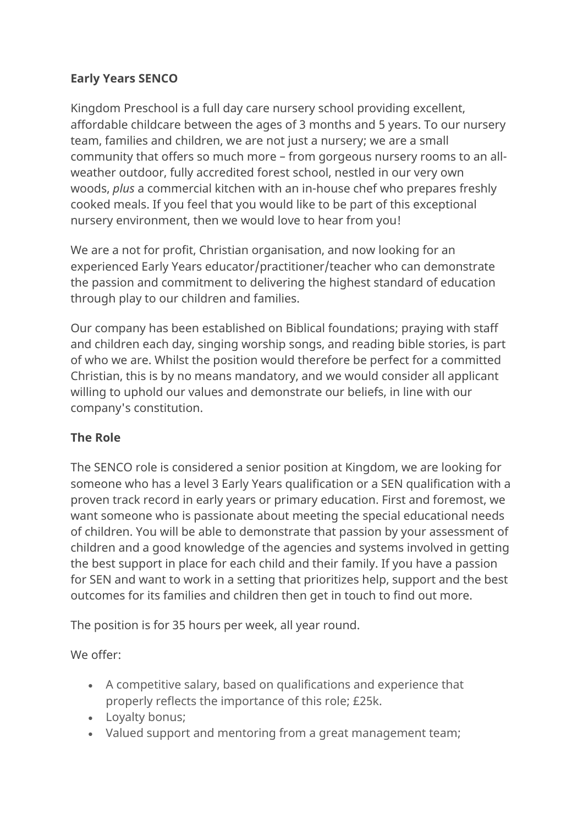## **Early Years SENCO**

Kingdom Preschool is a full day care nursery school providing excellent, affordable childcare between the ages of 3 months and 5 years. To our nursery team, families and children, we are not just a nursery; we are a small community that offers so much more – from gorgeous nursery rooms to an allweather outdoor, fully accredited forest school, nestled in our very own woods, *plus* a commercial kitchen with an in-house chef who prepares freshly cooked meals. If you feel that you would like to be part of this exceptional nursery environment, then we would love to hear from you!

We are a not for profit, Christian organisation, and now looking for an experienced Early Years educator/practitioner/teacher who can demonstrate the passion and commitment to delivering the highest standard of education through play to our children and families.

Our company has been established on Biblical foundations; praying with staff and children each day, singing worship songs, and reading bible stories, is part of who we are. Whilst the position would therefore be perfect for a committed Christian, this is by no means mandatory, and we would consider all applicant willing to uphold our values and demonstrate our beliefs, in line with our company's constitution.

## **The Role**

The SENCO role is considered a senior position at Kingdom, we are looking for someone who has a level 3 Early Years qualification or a SEN qualification with a proven track record in early years or primary education. First and foremost, we want someone who is passionate about meeting the special educational needs of children. You will be able to demonstrate that passion by your assessment of children and a good knowledge of the agencies and systems involved in getting the best support in place for each child and their family. If you have a passion for SEN and want to work in a setting that prioritizes help, support and the best outcomes for its families and children then get in touch to find out more.

The position is for 35 hours per week, all year round.

We offer:

- A competitive salary, based on qualifications and experience that properly reflects the importance of this role; £25k.
- Loyalty bonus;
- Valued support and mentoring from a great management team;